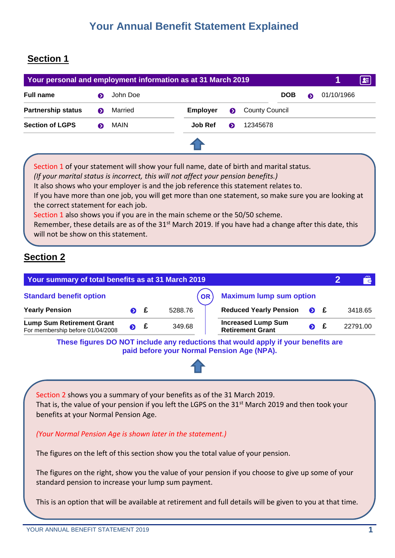# **Your Annual Benefit Statement Explained**

#### **Section 1**

| Your personal and employment information as at 31 March 2019 |   |          |          |           |                       |            |   |            | 토 |
|--------------------------------------------------------------|---|----------|----------|-----------|-----------------------|------------|---|------------|---|
| <b>Full name</b>                                             |   | John Doe |          |           |                       | <b>DOB</b> | ๑ | 01/10/1966 |   |
| <b>Partnership status</b>                                    | ๑ | Married  | Employer | $\bullet$ | <b>County Council</b> |            |   |            |   |
| <b>Section of LGPS</b>                                       |   | MAIN     | Job Ref  | ๑         | 12345678              |            |   |            |   |
|                                                              |   |          |          |           |                       |            |   |            |   |

Section 1 of your statement will show your full name, date of birth and marital status. *(If your marital status is incorrect, this will not affect your pension benefits.)* It also shows who your employer is and the job reference this statement relates to. If you have more than one job, you will get more than one statement, so make sure you are looking at the correct statement for each job. Section 1 also shows you if you are in the main scheme or the 50/50 scheme. Remember, these details are as of the  $31<sup>st</sup>$  March 2019. If you have had a change after this date, this will not be show on this statement.

### **Section 2**

| Your summary of total benefits as at 31 March 2019                   |                                      |             |         |                                                                                   |             |  | $\mathbf{r}$ |
|----------------------------------------------------------------------|--------------------------------------|-------------|---------|-----------------------------------------------------------------------------------|-------------|--|--------------|
| <b>Standard benefit option</b>                                       | <b>Maximum lump sum option</b><br>OR |             |         |                                                                                   |             |  |              |
| <b>Yearly Pension</b>                                                |                                      | $\bullet$ f | 5288.76 | <b>Reduced Yearly Pension</b>                                                     | $\bullet$ £ |  | 3418.65      |
| <b>Lump Sum Retirement Grant</b><br>For membership before 01/04/2008 | $\bullet$ £                          |             | 349.68  | <b>Increased Lump Sum</b><br><b>Retirement Grant</b>                              | $\bullet$   |  | 22791.00     |
|                                                                      |                                      |             |         | These figures DO NOT include any reductions that would apply if your benefits are |             |  |              |

**paid before your Normal Pension Age (NPA).**



Section 2 shows you a summary of your benefits as of the 31 March 2019. That is, the value of your pension if you left the LGPS on the 31<sup>st</sup> March 2019 and then took your benefits at your Normal Pension Age.

*(Your Normal Pension Age is shown later in the statement.)*

The figures on the left of this section show you the total value of your pension.

The figures on the right, show you the value of your pension if you choose to give up some of your standard pension to increase your lump sum payment.

This is an option that will be available at retirement and full details will be given to you at that time.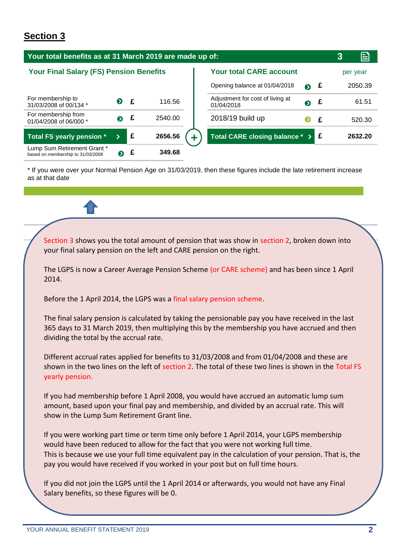| Your total benefits as at 31 March 2019 are made up of:          |   |   |         |                                                          |          |  |  |
|------------------------------------------------------------------|---|---|---------|----------------------------------------------------------|----------|--|--|
| <b>Your Final Salary (FS) Pension Benefits</b>                   |   |   |         | <b>Your total CARE account</b>                           | per year |  |  |
|                                                                  |   |   |         | £<br>Opening balance at 01/04/2018<br>$\bullet$          | 2050.39  |  |  |
| For membership to<br>31/03/2008 of 00/134 *                      | ◐ | £ | 116.56  | Adjustment for cost of living at<br>£<br>◐<br>01/04/2018 | 61.51    |  |  |
| For membership from<br>01/04/2008 of 06/000 *                    | ๑ | £ | 2540.00 | 2018/19 build up<br>£<br>❷                               | 520.30   |  |  |
| <b>Total FS yearly pension *</b>                                 |   | £ | 2656.56 | Total CARE closing balance * ><br>Ι£                     | 2632.20  |  |  |
| Lump Sum Retirement Grant *<br>based on membership to 31/03/2008 | ❷ | £ | 349.68  |                                                          |          |  |  |

\* If you were over your Normal Pension Age on 31/03/2019, then these figures include the late retirement increase as at that date

Section 3 shows you the total amount of pension that was show in section 2, broken down into your final salary pension on the left and CARE pension on the right.

The LGPS is now a Career Average Pension Scheme (or CARE scheme) and has been since 1 April 2014.

Before the 1 April 2014, the LGPS was a final salary pension scheme.

The final salary pension is calculated by taking the pensionable pay you have received in the last 365 days to 31 March 2019, then multiplying this by the membership you have accrued and then dividing the total by the accrual rate.

Different accrual rates applied for benefits to 31/03/2008 and from 01/04/2008 and these are shown in the two lines on the left of section 2. The total of these two lines is shown in the Total FS yearly pension.

If you had membership before 1 April 2008, you would have accrued an automatic lump sum amount, based upon your final pay and membership, and divided by an accrual rate. This will show in the Lump Sum Retirement Grant line.

If you were working part time or term time only before 1 April 2014, your LGPS membership would have been reduced to allow for the fact that you were not working full time. This is because we use your full time equivalent pay in the calculation of your pension. That is, the pay you would have received if you worked in your post but on full time hours.

If you did not join the LGPS until the 1 April 2014 or afterwards, you would not have any Final Salary benefits, so these figures will be 0.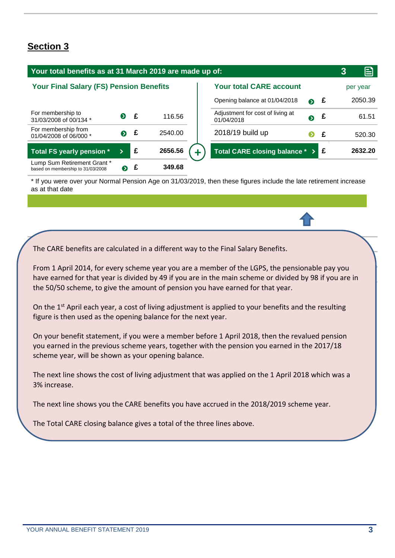| Your total benefits as at 31 March 2019 are made up of:          |             |              |         |                                                |             |   | 3 | ≘        |
|------------------------------------------------------------------|-------------|--------------|---------|------------------------------------------------|-------------|---|---|----------|
| <b>Your Final Salary (FS) Pension Benefits</b>                   |             |              |         | <b>Your total CARE account</b>                 |             |   |   | per year |
|                                                                  |             |              |         | Opening balance at 01/04/2018                  | $\bullet$ £ |   |   | 2050.39  |
| For membership to<br>31/03/2008 of 00/134 *                      | $\bullet$   | $\mathbf{f}$ | 116.56  | Adjustment for cost of living at<br>01/04/2018 | $\bullet$ £ |   |   | 61.51    |
| For membership from<br>01/04/2008 of 06/000 *                    | $\bullet$ £ |              | 2540.00 | 2018/19 build up                               | ❷           | £ |   | 520.30   |
| Total FS yearly pension *                                        |             | £            | 2656.56 | Total CARE closing balance * >                 |             |   |   | 2632.20  |
| Lump Sum Retirement Grant *<br>based on membership to 31/03/2008 | $\bullet$   |              | 349.68  |                                                |             |   |   |          |

\* If you were over your Normal Pension Age on 31/03/2019, then these figures include the late retirement increase as at that date

The CARE benefits are calculated in a different way to the Final Salary Benefits.

From 1 April 2014, for every scheme year you are a member of the LGPS, the pensionable pay you have earned for that year is divided by 49 if you are in the main scheme or divided by 98 if you are in the 50/50 scheme, to give the amount of pension you have earned for that year.

On the 1<sup>st</sup> April each year, a cost of living adjustment is applied to your benefits and the resulting figure is then used as the opening balance for the next year.

On your benefit statement, if you were a member before 1 April 2018, then the revalued pension you earned in the previous scheme years, together with the pension you earned in the 2017/18 scheme year, will be shown as your opening balance.

The next line shows the cost of living adjustment that was applied on the 1 April 2018 which was a 3% increase.

The next line shows you the CARE benefits you have accrued in the 2018/2019 scheme year.

The Total CARE closing balance gives a total of the three lines above.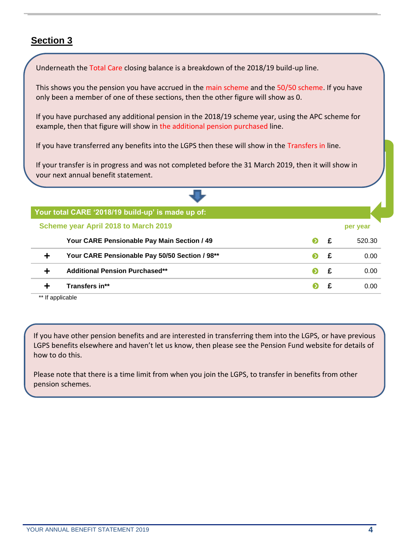Underneath the Total Care closing balance is a breakdown of the 2018/19 build-up line.

This shows you the pension you have accrued in the main scheme and the 50/50 scheme. If you have only been a member of one of these sections, then the other figure will show as 0.

If you have purchased any additional pension in the 2018/19 scheme year, using the APC scheme for example then t example, then that figure will show in the additional pension purchased line.

If you have transferred any benefits into the LGPS then these will show in the Transfers in line. 520.30

If your transfer is in progress and was not completed before the 31 March 2019, then it will show in your next annual benefit statement.

\* If you were over your Normal Pension Age on 31/03/2019, then these figures include the late retirement increase

| Your total CARE '2018/19 build-up' is made up of: |           |   |          |
|---------------------------------------------------|-----------|---|----------|
| Scheme year April 2018 to March 2019              |           |   | per year |
| Your CARE Pensionable Pay Main Section / 49       | $\bullet$ | £ | 520.30   |
| Your CARE Pensionable Pay 50/50 Section / 98**    |           | £ | 0.00     |
| <b>Additional Pension Purchased**</b>             |           | £ | 0.00     |
| Transfers in**                                    |           |   | 0.OO     |

\*\* If applicable

If you have other pension benefits and are interested in transferring them into the LGPS, or have previous LGPS benefits elsewhere and haven't let us know, then please see the Pension Fund website for details of how to do this.

Please note that there is a time limit from when you join the LGPS, to transfer in benefits from other pension schemes.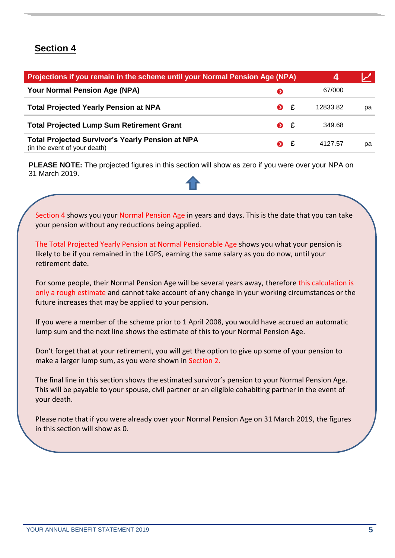| Projections if you remain in the scheme until your Normal Pension Age (NPA)      |                     | 4 |          |    |
|----------------------------------------------------------------------------------|---------------------|---|----------|----|
| Your Normal Pension Age (NPA)                                                    | ◐                   |   | 67/000   |    |
| <b>Total Projected Yearly Pension at NPA</b>                                     | $\bullet$           | £ | 12833.82 | рa |
| <b>Total Projected Lump Sum Retirement Grant</b>                                 | $\bullet$ $\bullet$ |   | 349.68   |    |
| Total Projected Survivor's Yearly Pension at NPA<br>(in the event of your death) | ๑                   | £ | 4127.57  | рa |

**PLEASE NOTE:** The projected figures in this section will show as zero if you were over your NPA on 31 March 2019.

Section 4 shows you your Normal Pension Age in years and days. This is the date that you can take your pension without any reductions being applied.

The Total Projected Yearly Pension at Normal Pensionable Age shows you what your pension is likely to be if you remained in the LGPS, earning the same salary as you do now, until your retirement date.

For some people, their Normal Pension Age will be several years away, therefore this calculation is only a rough estimate and cannot take account of any change in your working circumstances or the future increases that may be applied to your pension.

If you were a member of the scheme prior to 1 April 2008, you would have accrued an automatic lump sum and the next line shows the estimate of this to your Normal Pension Age.

Don't forget that at your retirement, you will get the option to give up some of your pension to make a larger lump sum, as you were shown in Section 2.

The final line in this section shows the estimated survivor's pension to your Normal Pension Age. This will be payable to your spouse, civil partner or an eligible cohabiting partner in the event of your death.

Please note that if you were already over your Normal Pension Age on 31 March 2019, the figures in this section will show as 0.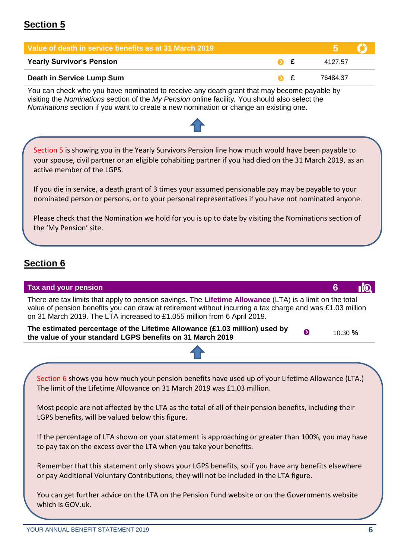| Value of death in service benefits as at 31 March 2019 |  |          |  |
|--------------------------------------------------------|--|----------|--|
| <b>Yearly Survivor's Pension</b>                       |  | 4127.57  |  |
| Death in Service Lump Sum                              |  | 76484.37 |  |

You can check who you have nominated to receive any death grant that may become payable by visiting the *Nominations* section of the *My Pension* online facility*.* You should also select the *Nominations* section if you want to create a new nomination or change an existing one.

Section 5 is showing you in the Yearly Survivors Pension line how much would have been payable to your spouse, civil partner or an eligible cohabiting partner if you had died on the 31 March 2019, as an active member of the LGPS.

If you die in service, a death grant of 3 times your assumed pensionable pay may be payable to your nominated person or persons, or to your personal representatives if you have not nominated anyone.

Please check that the Nomination we hold for you is up to date by visiting the Nominations section of the 'My Pension' site.

#### **Section 6**

| Tax and your pension                                                                                                                                                                                                                                                                              | 6         |  |
|---------------------------------------------------------------------------------------------------------------------------------------------------------------------------------------------------------------------------------------------------------------------------------------------------|-----------|--|
| There are tax limits that apply to pension savings. The Lifetime Allowance (LTA) is a limit on the total<br>value of pension benefits you can draw at retirement without incurring a tax charge and was £1.03 million<br>on 31 March 2019. The LTA increased to £1.055 million from 6 April 2019. |           |  |
| The estimated percentage of the Lifetime Allowance (£1.03 million) used by<br>◐<br>the value of your standard LGPS benefits on 31 March 2019                                                                                                                                                      | 10.30 $%$ |  |
|                                                                                                                                                                                                                                                                                                   |           |  |
| Section 6 shows you how much your pension benefits have used up of your Lifetime Allowance (LTA.)<br>The limit of the Lifetime Allowance on 31 March 2019 was £1.03 million.                                                                                                                      |           |  |
| Most people are not affected by the LTA as the total of all of their pension benefits, including their<br>LGPS benefits, will be valued below this figure.                                                                                                                                        |           |  |
| If the percentage of LTA shown on your statement is approaching or greater than 100%, you may have<br>to pay tax on the excess over the LTA when you take your benefits.                                                                                                                          |           |  |
| Remember that this statement only shows your LGPS benefits, so if you have any benefits elsewhere<br>or pay Additional Voluntary Contributions, they will not be included in the LTA figure.                                                                                                      |           |  |
| You can get further advice on the LTA on the Pension Fund website or on the Governments website<br>which is GOV.uk.                                                                                                                                                                               |           |  |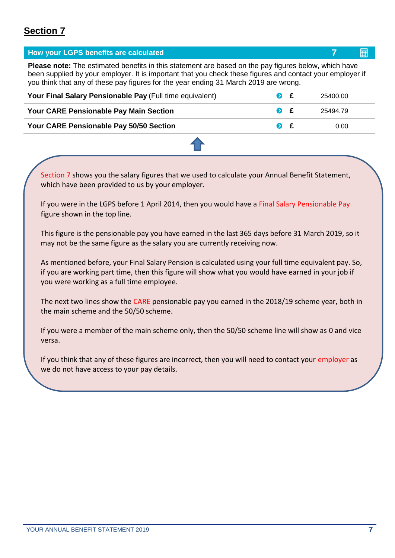| How your LGPS benefits are calculated                                                                                                                                                                                                                                                                            |                     |   |          | 酾 |  |  |
|------------------------------------------------------------------------------------------------------------------------------------------------------------------------------------------------------------------------------------------------------------------------------------------------------------------|---------------------|---|----------|---|--|--|
| <b>Please note:</b> The estimated benefits in this statement are based on the pay figures below, which have<br>been supplied by your employer. It is important that you check these figures and contact your employer if<br>you think that any of these pay figures for the year ending 31 March 2019 are wrong. |                     |   |          |   |  |  |
| Your Final Salary Pensionable Pay (Full time equivalent)                                                                                                                                                                                                                                                         | $\bullet$           |   | 25400.00 |   |  |  |
| <b>Your CARE Pensionable Pay Main Section</b>                                                                                                                                                                                                                                                                    | $\bullet$           | f | 25494.79 |   |  |  |
| <b>Your CARE Pensionable Pay 50/50 Section</b>                                                                                                                                                                                                                                                                   | $\bullet$ $\bullet$ |   | 0.00     |   |  |  |
|                                                                                                                                                                                                                                                                                                                  |                     |   |          |   |  |  |

Section 7 shows you the salary figures that we used to calculate your Annual Benefit Statement, which have been provided to us by your employer.

If you were in the LGPS before 1 April 2014, then you would have a Final Salary Pensionable Pay figure shown in the top line.

This figure is the pensionable pay you have earned in the last 365 days before 31 March 2019, so it may not be the same figure as the salary you are currently receiving now.

As mentioned before, your Final Salary Pension is calculated using your full time equivalent pay. So, if you are working part time, then this figure will show what you would have earned in your job if you were working as a full time employee.

The next two lines show the CARE pensionable pay you earned in the 2018/19 scheme year, both in the main scheme and the 50/50 scheme.

If you were a member of the main scheme only, then the 50/50 scheme line will show as 0 and vice versa.

If you think that any of these figures are incorrect, then you will need to contact your employer as we do not have access to your pay details.